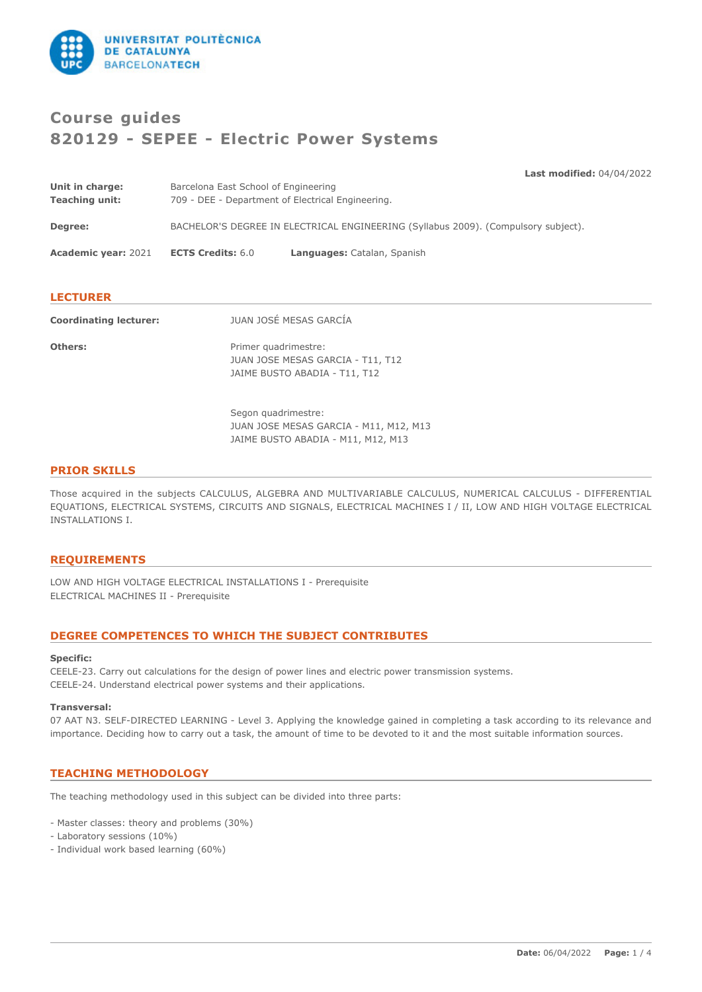

# **Course guides 820129 - SEPEE - Electric Power Systems**

**Last modified:** 04/04/2022

| Unit in charge:<br><b>Teaching unit:</b> | Barcelona East School of Engineering<br>709 - DEE - Department of Electrical Engineering. |                             |  |
|------------------------------------------|-------------------------------------------------------------------------------------------|-----------------------------|--|
| Degree:                                  | BACHELOR'S DEGREE IN ELECTRICAL ENGINEERING (Syllabus 2009). (Compulsory subject).        |                             |  |
| <b>Academic year: 2021</b>               | <b>ECTS Credits: 6.0</b>                                                                  | Languages: Catalan, Spanish |  |
| <b>LECTURER</b>                          |                                                                                           |                             |  |

| <b>Coordinating lecturer:</b> | JUAN JOSÉ MESAS GARCÍA                                                                     |
|-------------------------------|--------------------------------------------------------------------------------------------|
| <b>Others:</b>                | Primer quadrimestre:<br>JUAN JOSE MESAS GARCIA - T11, T12<br>JAIME BUSTO ABADIA - T11, T12 |

Segon quadrimestre: JUAN JOSE MESAS GARCIA - M11, M12, M13 JAIME BUSTO ABADIA - M11, M12, M13

#### **PRIOR SKILLS**

Those acquired in the subjects CALCULUS, ALGEBRA AND MULTIVARIABLE CALCULUS, NUMERICAL CALCULUS - DIFFERENTIAL EQUATIONS, ELECTRICAL SYSTEMS, CIRCUITS AND SIGNALS, ELECTRICAL MACHINES I / II, LOW AND HIGH VOLTAGE ELECTRICAL INSTALLATIONS I.

### **REQUIREMENTS**

LOW AND HIGH VOLTAGE ELECTRICAL INSTALLATIONS I - Prerequisite ELECTRICAL MACHINES II - Prerequisite

# **DEGREE COMPETENCES TO WHICH THE SUBJECT CONTRIBUTES**

#### **Specific:**

CEELE-23. Carry out calculations for the design of power lines and electric power transmission systems. CEELE-24. Understand electrical power systems and their applications.

#### **Transversal:**

07 AAT N3. SELF-DIRECTED LEARNING - Level 3. Applying the knowledge gained in completing a task according to its relevance and importance. Deciding how to carry out a task, the amount of time to be devoted to it and the most suitable information sources.

# **TEACHING METHODOLOGY**

The teaching methodology used in this subject can be divided into three parts:

- Master classes: theory and problems (30%)

- Laboratory sessions (10%)
- Individual work based learning (60%)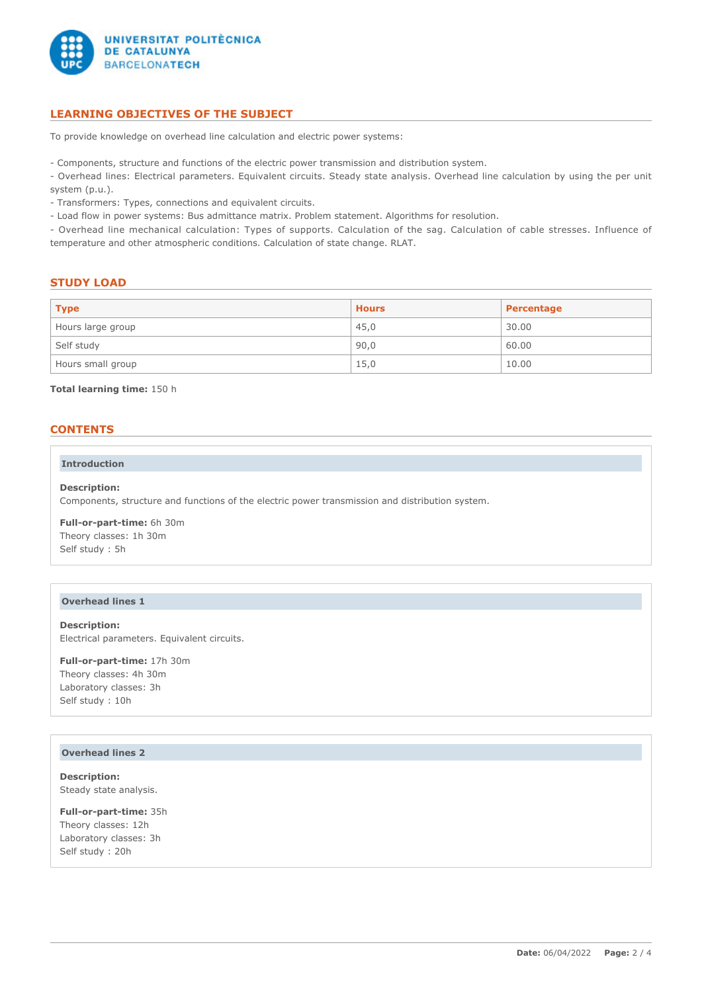

# **LEARNING OBJECTIVES OF THE SUBJECT**

To provide knowledge on overhead line calculation and electric power systems:

- Components, structure and functions of the electric power transmission and distribution system.

- Overhead lines: Electrical parameters. Equivalent circuits. Steady state analysis. Overhead line calculation by using the per unit system (p.u.).

- Transformers: Types, connections and equivalent circuits.

- Load flow in power systems: Bus admittance matrix. Problem statement. Algorithms for resolution.

- Overhead line mechanical calculation: Types of supports. Calculation of the sag. Calculation of cable stresses. Influence of temperature and other atmospheric conditions. Calculation of state change. RLAT.

#### **STUDY LOAD**

| <b>Type</b>       | <b>Hours</b> | Percentage |
|-------------------|--------------|------------|
| Hours large group | 45,0         | 30.00      |
| Self study        | 90,0         | 60.00      |
| Hours small group | 15,0         | 10.00      |

**Total learning time:** 150 h

#### **CONTENTS**

#### **Introduction**

**Description:** Components, structure and functions of the electric power transmission and distribution system.

**Full-or-part-time:** 6h 30m Theory classes: 1h 30m Self study : 5h

#### **Overhead lines 1**

**Description:** Electrical parameters. Equivalent circuits.

**Full-or-part-time:** 17h 30m Theory classes: 4h 30m Laboratory classes: 3h Self study : 10h

#### **Overhead lines 2**

**Description:** Steady state analysis.

**Full-or-part-time:** 35h Theory classes: 12h Laboratory classes: 3h Self study : 20h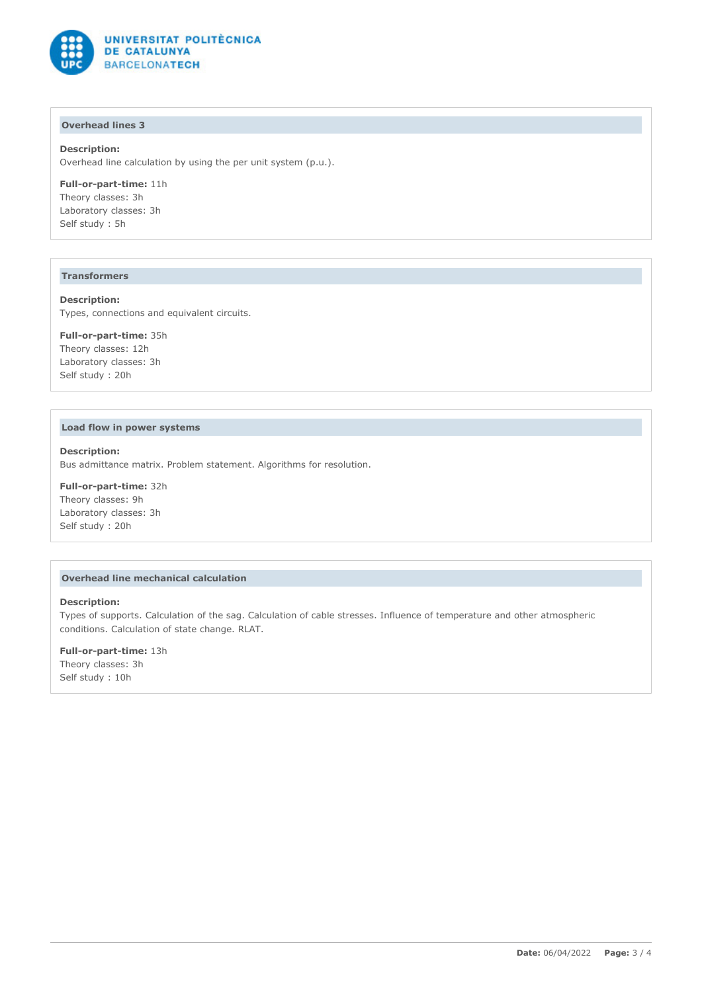

# **Overhead lines 3**

#### **Description:**

Overhead line calculation by using the per unit system (p.u.).

**Full-or-part-time:** 11h Theory classes: 3h Laboratory classes: 3h Self study : 5h

#### **Transformers**

**Description:** Types, connections and equivalent circuits.

**Full-or-part-time:** 35h Theory classes: 12h Laboratory classes: 3h Self study : 20h

#### **Load flow in power systems**

**Description:** Bus admittance matrix. Problem statement. Algorithms for resolution.

**Full-or-part-time:** 32h Theory classes: 9h Laboratory classes: 3h Self study : 20h

# **Overhead line mechanical calculation**

#### **Description:**

Types of supports. Calculation of the sag. Calculation of cable stresses. Influence of temperature and other atmospheric conditions. Calculation of state change. RLAT.

**Full-or-part-time:** 13h Theory classes: 3h Self study : 10h